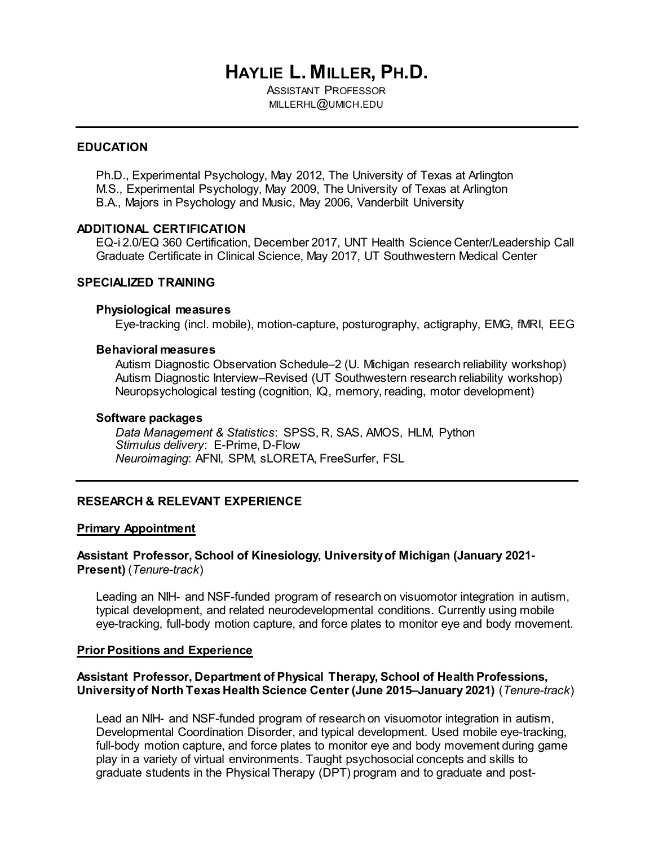# **HAYLIE L. MILLER, PH.D.**

ASSISTANT PROFESSOR MILLERHL@UMICH.EDU

### **EDUCATION**

Ph.D., Experimental Psychology, May 2012, The University of Texas at Arlington M.S., Experimental Psychology, May 2009, The University of Texas at Arlington B.A., Majors in Psychology and Music, May 2006, Vanderbilt University

### **ADDITIONAL CERTIFICATION**

EQ-i 2.0/EQ 360 Certification, December 2017, UNT Health Science Center/Leadership Call Graduate Certificate in Clinical Science, May 2017, UT Southwestern Medical Center

# **SPECIALIZED TRAINING**

#### **Physiological measures**

Eye-tracking (incl. mobile), motion-capture, posturography, actigraphy, EMG, fMRI, EEG

### **Behavioral measures**

Autism Diagnostic Observation Schedule–2 (U. Michigan research reliability workshop) Autism Diagnostic Interview–Revised (UT Southwestern research reliability workshop) Neuropsychological testing (cognition, IQ, memory, reading, motor development)

#### **Software packages**

*Data Management & Statistics*: SPSS, R, SAS, AMOS, HLM, Python *Stimulus delivery*: E-Prime, D-Flow *Neuroimaging*: AFNI, SPM, sLORETA, FreeSurfer, FSL

## **RESEARCH & RELEVANT EXPERIENCE**

### **Primary Appointment**

## **Assistant Professor, School of Kinesiology, University of Michigan (January 2021- Present)** (*Tenure-track*)

Leading an NIH- and NSF-funded program of research on visuomotor integration in autism, typical development, and related neurodevelopmental conditions. Currently using mobile eye-tracking, full-body motion capture, and force plates to monitor eye and body movement.

### **Prior Positions and Experience**

## **Assistant Professor, Department of Physical Therapy, School of Health Professions, University of North Texas Health Science Center (June 2015–January 2021)** (*Tenure-track*)

Lead an NIH- and NSF-funded program of research on visuomotor integration in autism, Developmental Coordination Disorder, and typical development. Used mobile eye-tracking, full-body motion capture, and force plates to monitor eye and body movement during game play in a variety of virtual environments. Taught psychosocial concepts and skills to graduate students in the Physical Therapy (DPT) program and to graduate and post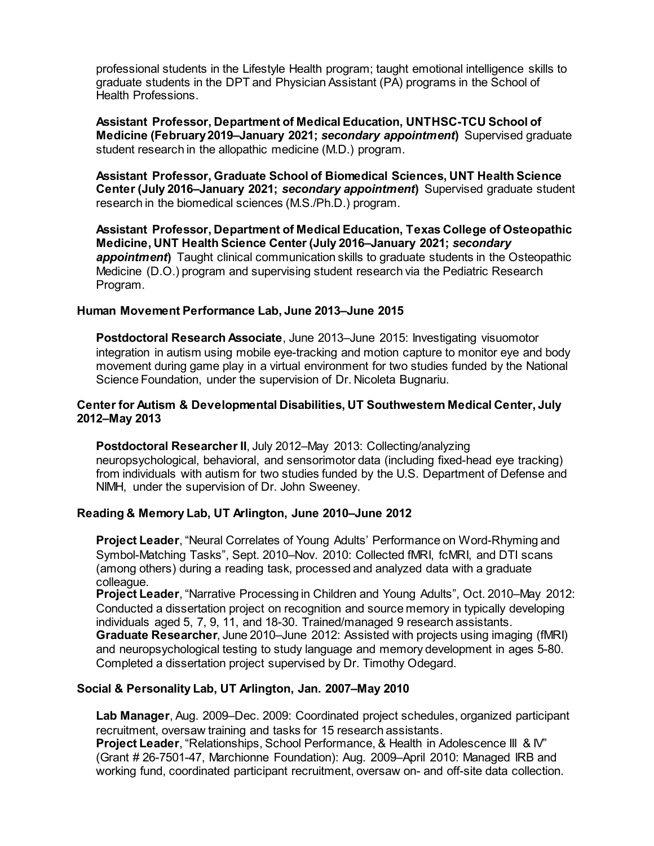professional students in the Lifestyle Health program; taught emotional intelligence skills to graduate students in the DPT and Physician Assistant (PA) programs in the School of Health Professions.

**Assistant Professor, Department of Medical Education, UNTHSC-TCU School of Medicine (February 2019–January 2021;** *secondary appointment***)** Supervised graduate student research in the allopathic medicine (M.D.) program.

**Assistant Professor, Graduate School of Biomedical Sciences, UNT Health Science Center (July 2016–January 2021;** *secondary appointment***)** Supervised graduate student research in the biomedical sciences (M.S./Ph.D.) program.

**Assistant Professor, Department of Medical Education, Texas College of Osteopathic Medicine, UNT Health Science Center (July 2016–January 2021;** *secondary appointment***)** Taught clinical communication skills to graduate students in the Osteopathic Medicine (D.O.) program and supervising student research via the Pediatric Research Program.

## **Human Movement Performance Lab, June 2013–June 2015**

**Postdoctoral Research Associate**, June 2013–June 2015: Investigating visuomotor integration in autism using mobile eye-tracking and motion capture to monitor eye and body movement during game play in a virtual environment for two studies funded by the National Science Foundation, under the supervision of Dr. Nicoleta Bugnariu.

## **Center for Autism & Developmental Disabilities, UT Southwestern Medical Center, July 2012–May 2013**

**Postdoctoral Researcher II**, July 2012–May 2013: Collecting/analyzing neuropsychological, behavioral, and sensorimotor data (including fixed-head eye tracking) from individuals with autism for two studies funded by the U.S. Department of Defense and NIMH, under the supervision of Dr. John Sweeney.

# **Reading & Memory Lab, UT Arlington, June 2010–June 2012**

**Project Leader**, "Neural Correlates of Young Adults' Performance on Word-Rhyming and Symbol-Matching Tasks", Sept. 2010–Nov. 2010: Collected fMRI, fcMRI, and DTI scans (among others) during a reading task, processed and analyzed data with a graduate colleague.

**Project Leader**, "Narrative Processing in Children and Young Adults", Oct. 2010–May 2012: Conducted a dissertation project on recognition and source memory in typically developing individuals aged 5, 7, 9, 11, and 18-30. Trained/managed 9 research assistants. **Graduate Researcher**, June 2010–June 2012: Assisted with projects using imaging (fMRI) and neuropsychological testing to study language and memory development in ages 5-80. Completed a dissertation project supervised by Dr. Timothy Odegard.

# **Social & Personality Lab, UT Arlington, Jan. 2007–May 2010**

**Lab Manager**, Aug. 2009–Dec. 2009: Coordinated project schedules, organized participant recruitment, oversaw training and tasks for 15 research assistants.

**Project Leader**, "Relationships, School Performance, & Health in Adolescence III & IV" (Grant # 26-7501-47, Marchionne Foundation): Aug. 2009–April 2010: Managed IRB and working fund, coordinated participant recruitment, oversaw on- and off-site data collection.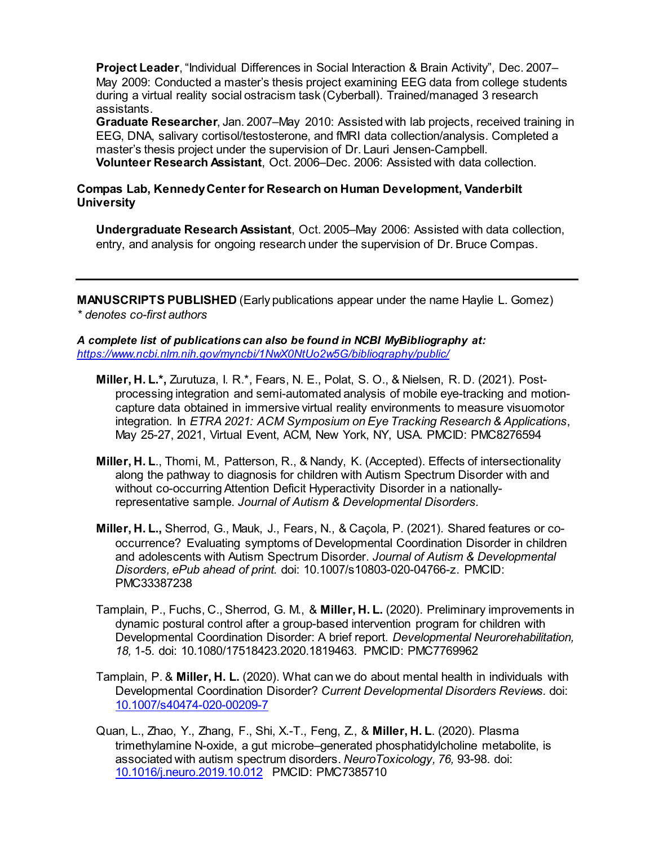**Project Leader**, "Individual Differences in Social Interaction & Brain Activity", Dec. 2007– May 2009: Conducted a master's thesis project examining EEG data from college students during a virtual reality social ostracism task (Cyberball). Trained/managed 3 research assistants.

**Graduate Researcher**, Jan. 2007–May 2010: Assisted with lab projects, received training in EEG, DNA, salivary cortisol/testosterone, and fMRI data collection/analysis. Completed a master's thesis project under the supervision of Dr. Lauri Jensen-Campbell. **Volunteer Research Assistant**, Oct. 2006–Dec. 2006: Assisted with data collection.

# **Compas Lab, Kennedy Center for Research on Human Development, Vanderbilt University**

**Undergraduate Research Assistant**, Oct. 2005–May 2006: Assisted with data collection, entry, and analysis for ongoing research under the supervision of Dr. Bruce Compas.

**MANUSCRIPTS PUBLISHED** (Early publications appear under the name Haylie L. Gomez) *\* denotes co-first authors*

*A complete list of publications can also be found in NCBI MyBibliography at: <https://www.ncbi.nlm.nih.gov/myncbi/1NwX0NtUo2w5G/bibliography/public/>*

- **Miller, H. L.\*,** Zurutuza, I. R.\*, Fears, N. E., Polat, S. O., & Nielsen, R. D. (2021). Postprocessing integration and semi-automated analysis of mobile eye-tracking and motioncapture data obtained in immersive virtual reality environments to measure visuomotor integration. In *ETRA 2021: ACM Symposium on Eye Tracking Research & Applications*, May 25-27, 2021, Virtual Event, ACM, New York, NY, USA. PMCID: PMC8276594
- **Miller, H. L**., Thomi, M., Patterson, R., & Nandy, K. (Accepted). Effects of intersectionality along the pathway to diagnosis for children with Autism Spectrum Disorder with and without co-occurring Attention Deficit Hyperactivity Disorder in a nationallyrepresentative sample. *Journal of Autism & Developmental Disorders.*
- **Miller, H. L.,** Sherrod, G., Mauk, J., Fears, N., & Caçola, P. (2021). Shared features or cooccurrence? Evaluating symptoms of Developmental Coordination Disorder in children and adolescents with Autism Spectrum Disorder. *Journal of Autism & Developmental Disorders, ePub ahead of print.* doi: 10.1007/s10803-020-04766-z. PMCID: PMC33387238
- Tamplain, P., Fuchs, C., Sherrod, G. M., & **Miller, H. L.** (2020). Preliminary improvements in dynamic postural control after a group-based intervention program for children with Developmental Coordination Disorder: A brief report*. Developmental Neurorehabilitation, 18,* 1-5. doi: 10.1080/17518423.2020.1819463. PMCID: PMC7769962
- Tamplain, P. & **Miller, H. L.** (2020). What can we do about mental health in individuals with Developmental Coordination Disorder? *Current Developmental Disorders Reviews.* doi: [10.1007/s40474-020-00209-7](https://doi.org/10.1007/s40474-020-00209-7)
- Quan, L., Zhao, Y., Zhang, F., Shi, X.-T., Feng, Z., & **Miller, H. L**. (2020). Plasma trimethylamine N-oxide, a gut microbe–generated phosphatidylcholine metabolite, is associated with autism spectrum disorders. *NeuroToxicology, 76,* 93-98. doi: [10.1016/j.neuro.2019.10.012](https://doi.org/10.1016/j.neuro.2019.10.012) PMCID: PMC7385710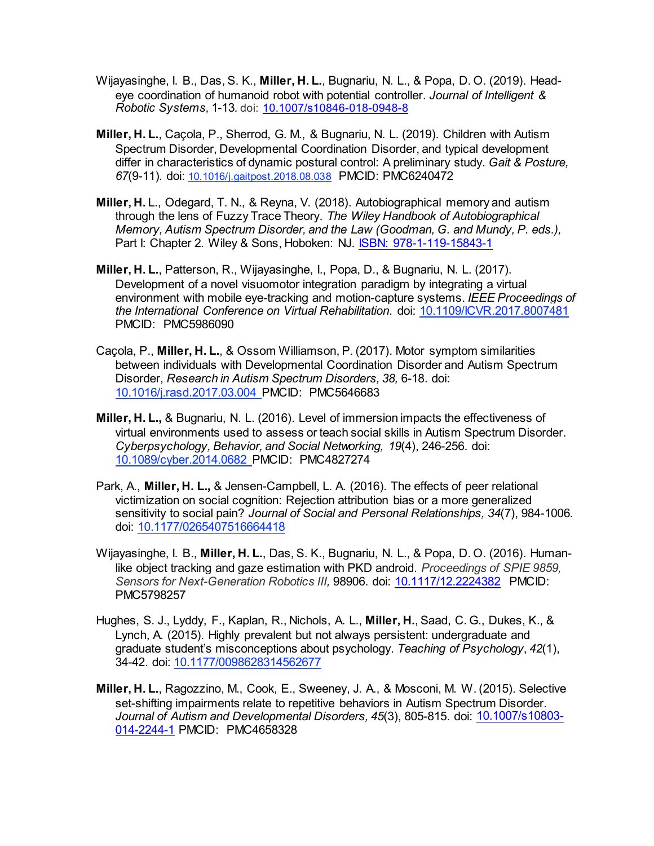- Wijayasinghe, I. B., Das, S. K., **Miller, H. L.**, Bugnariu, N. L., & Popa, D. O. (2019). Headeye coordination of humanoid robot with potential controller. *Journal of Intelligent & Robotic Systems,* 1-13*.* doi: [10.1007/s10846-018-0948-8](https://doi.org/10.1007/s10846-018-0948-8)
- **Miller, H. L.**, Caçola, P., Sherrod, G. M., & Bugnariu, N. L. (2019). Children with Autism Spectrum Disorder, Developmental Coordination Disorder, and typical development differ in characteristics of dynamic postural control: A preliminary study. *Gait & Posture, 67*(9-11)*.* doi: [10.1016/j.gaitpost.2018.08.038](https://doi.org/10.1016/j.gaitpost.2018.08.038) PMCID: PMC6240472
- **Miller, H.** L., Odegard, T. N., & Reyna, V. (2018). Autobiographical memory and autism through the lens of Fuzzy Trace Theory. *The Wiley Handbook of Autobiographical Memory, Autism Spectrum Disorder, and the Law (Goodman, G. and Mundy, P. eds.),*  Part I: Chapter 2*.* Wiley & Sons, Hoboken: NJ. [ISBN: 978-1-119-15843-1](https://www.wiley.com/en-us/The+Wiley+Handbook+of+Memory%2C+Autism+Spectrum+Disorder%2C+and+the+Law-p-9781119158431)
- **Miller, H. L.**, Patterson, R., Wijayasinghe, I., Popa, D., & Bugnariu, N. L. (2017). Development of a novel visuomotor integration paradigm by integrating a virtual environment with mobile eye-tracking and motion-capture systems. *IEEE Proceedings of the International Conference on Virtual Rehabilitation*. doi: [10.1109/ICVR.2017.8007481](https://doi.org/10.1109/ICVR.2017.8007481) PMCID: PMC5986090
- Caçola, P., **Miller, H. L.**, & Ossom Williamson, P. (2017). Motor symptom similarities between individuals with Developmental Coordination Disorder and Autism Spectrum Disorder, *Research in Autism Spectrum Disorders, 38,* 6-18. doi: [10.1016/j.rasd.2017.03.004](https://doi.org/10.1016/j.rasd.2017.03.004) PMCID: PMC5646683
- **Miller, H. L.,** & Bugnariu, N. L. (2016). Level of immersion impacts the effectiveness of virtual environments used to assess or teach social skills in Autism Spectrum Disorder. *Cyberpsychology, Behavior, and Social Networking, 19*(4), 246-256. doi: [10.1089/cyber.2014.0682](https://dx.doi.org/10.1089%2Fcyber.2014.0682) PMCID: PMC4827274
- Park, A., **Miller, H. L.,** & Jensen-Campbell, L. A. (2016). The effects of peer relational victimization on social cognition: Rejection attribution bias or a more generalized sensitivity to social pain? *Journal of Social and Personal Relationships, 34*(7), 984-1006*.* doi: [10.1177/0265407516664418](https://doi.org/10.1177/0265407516664418)
- Wijayasinghe, I. B., **Miller, H. L.**, Das, S. K., Bugnariu, N. L., & Popa, D. O. (2016). Humanlike object tracking and gaze estimation with PKD android. *Proceedings of SPIE 9859, Sensors for Next-Generation Robotics III,* 98906. doi: [10.1117/12.2224382](https://www.spiedigitallibrary.org/conference-proceedings-of-spie/9859/1/Human-like-object-tracking-and-gaze-estimation-with-PKD-android/10.1117/12.2224382.short?SSO=1) PMCID: PMC5798257
- Hughes, S. J., Lyddy, F., Kaplan, R., Nichols, A. L., **Miller, H.**, Saad, C. G., Dukes, K., & Lynch, A. (2015). Highly prevalent but not always persistent: undergraduate and graduate student's misconceptions about psychology. *Teaching of Psychology*, *42*(1), 34-42. doi: [10.1177/0098628314562677](https://doi.org/10.1177/0098628314562677)
- **Miller, H. L.**, Ragozzino, M., Cook, E., Sweeney, J. A., & Mosconi, M. W. (2015). Selective set-shifting impairments relate to repetitive behaviors in Autism Spectrum Disorder. Journal of Autism and Developmental Disorders, 45(3), 805-815. doi: [10.1007/s10803-](https://www.ncbi.nlm.nih.gov/pubmed/25234483) [014-2244-1](https://www.ncbi.nlm.nih.gov/pubmed/25234483) PMCID: PMC4658328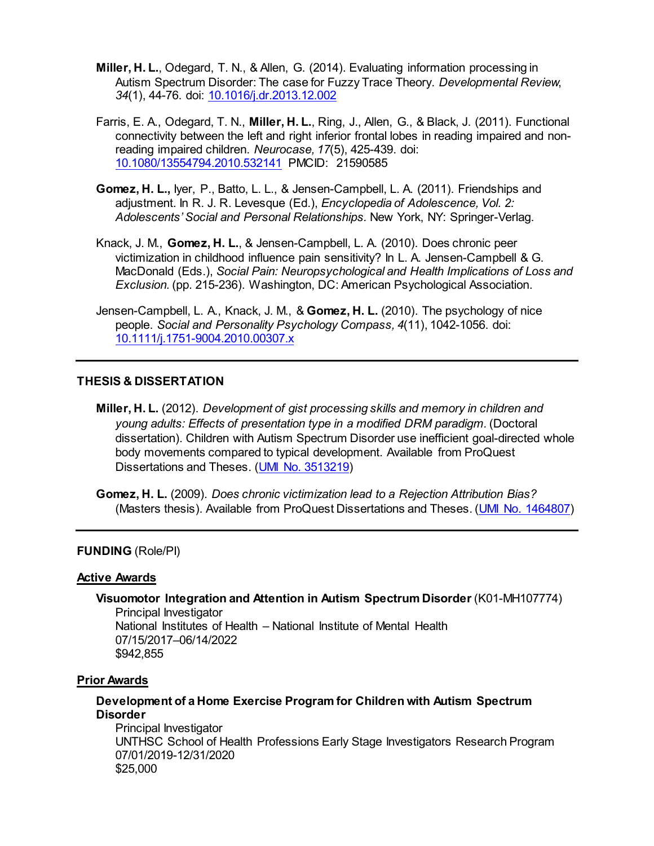- **Miller, H. L.**, Odegard, T. N., & Allen, G. (2014). Evaluating information processing in Autism Spectrum Disorder: The case for Fuzzy Trace Theory. *Developmental Review*, *34*(1), 44-76. doi: [10.1016/j.dr.2013.12.002](http://www.sciencedirect.com/science/article/pii/S0273229713000610?via%3Dihub)
- Farris, E. A., Odegard, T. N., **Miller, H. L.**, Ring, J., Allen, G., & Black, J. (2011). Functional connectivity between the left and right inferior frontal lobes in reading impaired and nonreading impaired children. *Neurocase, 17*(5), 425-439. [doi:](http://www.tandfonline.com/doi/abs/10.1080/13554794.2010.532141?journalCode=nncs20)  [10.1080/13554794.2010.532141](http://www.tandfonline.com/doi/abs/10.1080/13554794.2010.532141?journalCode=nncs20) PMCID: 21590585
- **Gomez, H. L.,** Iyer, P., Batto, L. L., & Jensen-Campbell, L. A. (2011). Friendships and adjustment. In R. J. R. Levesque (Ed.), *Encyclopedia of Adolescence, Vol. 2: Adolescents' Social and Personal Relationships.* New York, NY: Springer-Verlag.
- Knack, J. M., **Gomez, H. L.**, & Jensen-Campbell, L. A. (2010). Does chronic peer victimization in childhood influence pain sensitivity? In L. A. Jensen-Campbell & G. MacDonald (Eds.), *Social Pain: Neuropsychological and Health Implications of Loss and Exclusion.* (pp. 215-236). Washington, DC: American Psychological Association.
- Jensen-Campbell, L. A., Knack, J. M., & **Gomez, H. L.** (2010). The psychology of nice people. *Social and Personality Psychology Compass, 4*(11), 1042-1056. doi: [10.1111/j.1751-9004.2010.00307.x](http://onlinelibrary.wiley.com/doi/10.1111/j.1751-9004.2010.00307.x/abstract)

## **THESIS & DISSERTATION**

**Miller, H. L.** (2012). *Development of gist processing skills and memory in children and young adults: Effects of presentation type in a modified DRM paradigm.* (Doctoral dissertation). Children with Autism Spectrum Disorder use inefficient goal-directed whole body movements compared to typical development. Available from ProQuest Dissertations and Theses. [\(UMI No. 3513219\)](https://uta-ir.tdl.org/uta-ir/bitstream/handle/10106/11054/Miller_uta_2502D_11652.pdf?sequence=1)

**Gomez, H. L.** (2009). *Does chronic victimization lead to a Rejection Attribution Bias?* (Masters thesis). Available from ProQuest Dissertations and Theses. [\(UMI No. 1464807\)](https://pdfs.semanticscholar.org/6dc4/271238a3048b6bfa0b19cbbd509d8755bade.pdf)

### **FUNDING** (Role/PI)

#### **Active Awards**

**Visuomotor Integration and Attention in Autism Spectrum Disorder** (K01-MH107774) Principal Investigator National Institutes of Health – National Institute of Mental Health 07/15/2017–06/14/2022 \$942,855

#### **Prior Awards**

# **Development of a Home Exercise Program for Children with Autism Spectrum Disorder**

Principal Investigator UNTHSC School of Health Professions Early Stage Investigators Research Program 07/01/2019-12/31/2020 \$25,000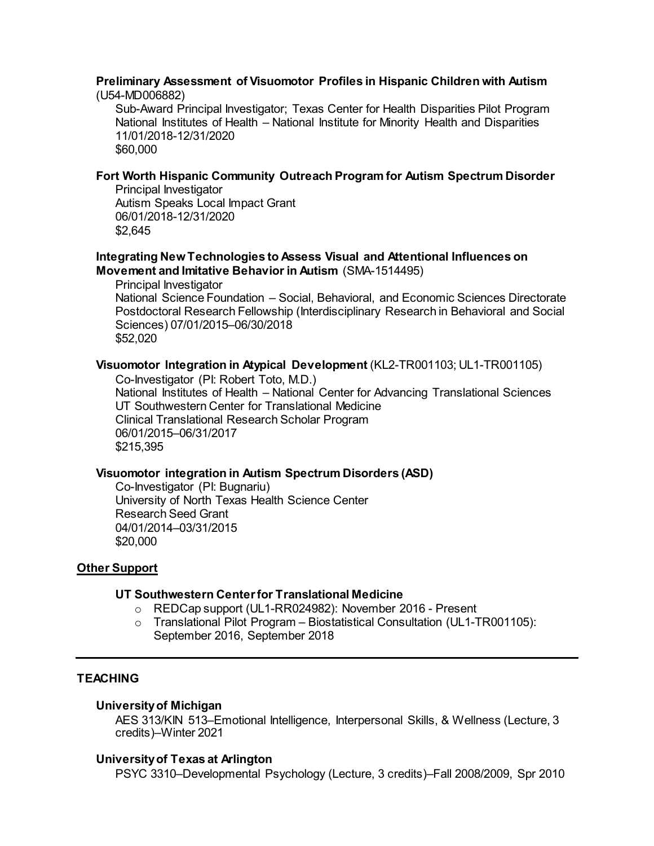# **Preliminary Assessment of Visuomotor Profiles in Hispanic Children with Autism**

(U54-MD006882)

Sub-Award Principal Investigator; Texas Center for Health Disparities Pilot Program National Institutes of Health – National Institute for Minority Health and Disparities 11/01/2018-12/31/2020 \$60,000

# **Fort Worth Hispanic Community Outreach Program for Autism Spectrum Disorder**

Principal Investigator Autism Speaks Local Impact Grant 06/01/2018-12/31/2020 \$2,645

## **Integrating New Technologies to Assess Visual and Attentional Influences on Movement and Imitative Behavior in Autism** (SMA-1514495)

Principal Investigator National Science Foundation – Social, Behavioral, and Economic Sciences Directorate Postdoctoral Research Fellowship (Interdisciplinary Research in Behavioral and Social Sciences) 07/01/2015–06/30/2018 \$52,020

# **Visuomotor Integration in Atypical Development** (KL2-TR001103; UL1-TR001105)

Co-Investigator (PI: Robert Toto, M.D.) National Institutes of Health – National Center for Advancing Translational Sciences UT Southwestern Center for Translational Medicine Clinical Translational Research Scholar Program 06/01/2015–06/31/2017 \$215,395

# **Visuomotor integration in Autism Spectrum Disorders (ASD)**

Co-Investigator (PI: Bugnariu) University of North Texas Health Science Center Research Seed Grant 04/01/2014–03/31/2015 \$20,000

# **Other Support**

# **UT Southwestern Center for Translational Medicine**

- o REDCap support (UL1-RR024982): November 2016 Present
- $\circ$  Translational Pilot Program Biostatistical Consultation (UL1-TR001105): September 2016, September 2018

# **TEACHING**

# **University of Michigan**

AES 313/KIN 513–Emotional Intelligence, Interpersonal Skills, & Wellness (Lecture, 3 credits)–Winter 2021

# **University of Texas at Arlington**

PSYC 3310–Developmental Psychology (Lecture, 3 credits)–Fall 2008/2009, Spr 2010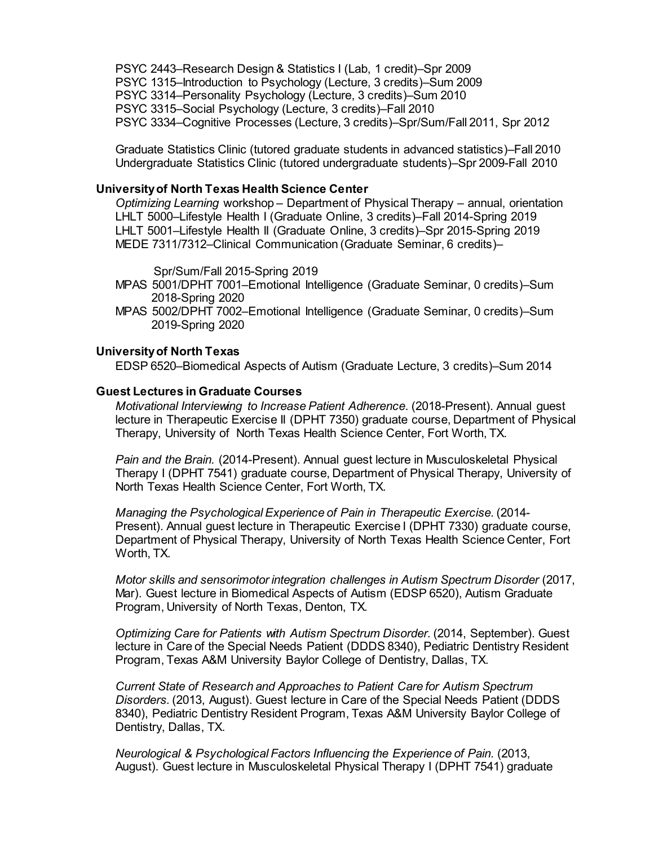PSYC 2443–Research Design & Statistics I (Lab, 1 credit)–Spr 2009 PSYC 1315–Introduction to Psychology (Lecture, 3 credits)–Sum 2009 PSYC 3314–Personality Psychology (Lecture, 3 credits)–Sum 2010 PSYC 3315–Social Psychology (Lecture, 3 credits)–Fall 2010 PSYC 3334–Cognitive Processes (Lecture, 3 credits)–Spr/Sum/Fall 2011, Spr 2012

Graduate Statistics Clinic (tutored graduate students in advanced statistics)–Fall 2010 Undergraduate Statistics Clinic (tutored undergraduate students)–Spr 2009-Fall 2010

#### **University of North Texas Health Science Center**

*Optimizing Learning* workshop – Department of Physical Therapy – annual, orientation LHLT 5000–Lifestyle Health I (Graduate Online, 3 credits)–Fall 2014-Spring 2019 LHLT 5001–Lifestyle Health II (Graduate Online, 3 credits)–Spr 2015-Spring 2019 MEDE 7311/7312–Clinical Communication (Graduate Seminar, 6 credits)–

Spr/Sum/Fall 2015-Spring 2019

- MPAS 5001/DPHT 7001–Emotional Intelligence (Graduate Seminar, 0 credits)–Sum 2018-Spring 2020
- MPAS 5002/DPHT 7002–Emotional Intelligence (Graduate Seminar, 0 credits)–Sum 2019-Spring 2020

### **University of North Texas**

EDSP 6520–Biomedical Aspects of Autism (Graduate Lecture, 3 credits)–Sum 2014

#### **Guest Lectures in Graduate Courses**

*Motivational Interviewing to Increase Patient Adherence*. (2018-Present). Annual guest lecture in Therapeutic Exercise II (DPHT 7350) graduate course, Department of Physical Therapy, University of North Texas Health Science Center, Fort Worth, TX.

*Pain and the Brain.* (2014-Present). Annual guest lecture in Musculoskeletal Physical Therapy I (DPHT 7541) graduate course, Department of Physical Therapy, University of North Texas Health Science Center, Fort Worth, TX.

*Managing the Psychological Experience of Pain in Therapeutic Exercise.* (2014- Present). Annual guest lecture in Therapeutic Exercise I (DPHT 7330) graduate course, Department of Physical Therapy, University of North Texas Health Science Center, Fort Worth, TX.

*Motor skills and sensorimotor integration challenges in Autism Spectrum Disorder* (2017, Mar). Guest lecture in Biomedical Aspects of Autism (EDSP 6520), Autism Graduate Program, University of North Texas, Denton, TX*.*

*Optimizing Care for Patients with Autism Spectrum Disorder.* (2014, September). Guest lecture in Care of the Special Needs Patient (DDDS 8340), Pediatric Dentistry Resident Program, Texas A&M University Baylor College of Dentistry, Dallas, TX.

*Current State of Research and Approaches to Patient Care for Autism Spectrum Disorders.* (2013, August). Guest lecture in Care of the Special Needs Patient (DDDS 8340), Pediatric Dentistry Resident Program, Texas A&M University Baylor College of Dentistry, Dallas, TX.

*Neurological & Psychological Factors Influencing the Experience of Pain.* (2013, August). Guest lecture in Musculoskeletal Physical Therapy I (DPHT 7541) graduate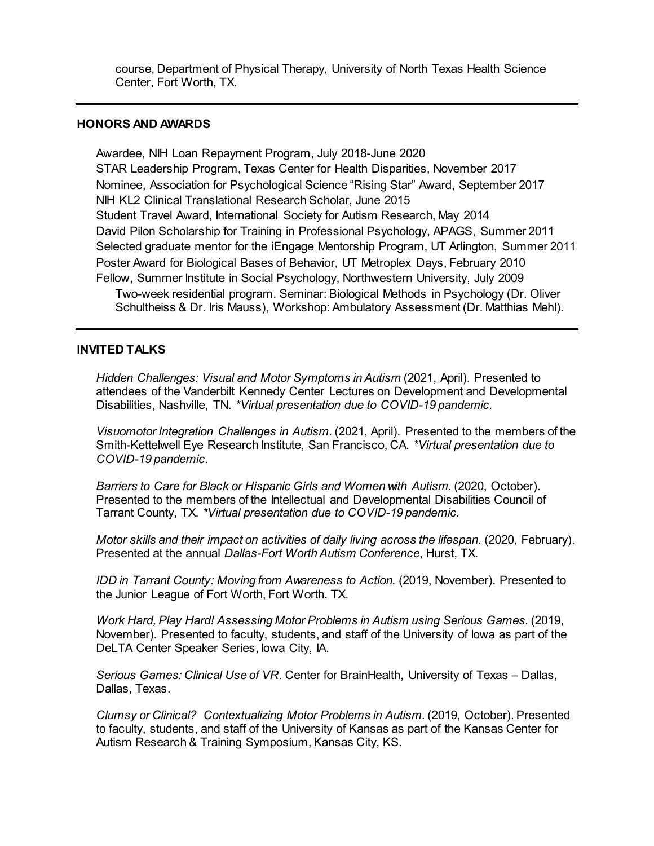course, Department of Physical Therapy, University of North Texas Health Science Center, Fort Worth, TX.

### **HONORS AND AWARDS**

Awardee, NIH Loan Repayment Program, July 2018-June 2020 STAR Leadership Program, Texas Center for Health Disparities, November 2017 Nominee, Association for Psychological Science "Rising Star" Award, September 2017 NIH KL2 Clinical Translational Research Scholar, June 2015 Student Travel Award, International Society for Autism Research, May 2014 David Pilon Scholarship for Training in Professional Psychology, APAGS, Summer 2011 Selected graduate mentor for the iEngage Mentorship Program, UT Arlington, Summer 2011 Poster Award for Biological Bases of Behavior, UT Metroplex Days, February 2010 Fellow, Summer Institute in Social Psychology, Northwestern University, July 2009 Two-week residential program. Seminar: Biological Methods in Psychology (Dr. Oliver Schultheiss & Dr. Iris Mauss), Workshop: Ambulatory Assessment (Dr. Matthias Mehl).

#### **INVITED TALKS**

*Hidden Challenges: Visual and Motor Symptoms in Autism* (2021, April). Presented to attendees of the Vanderbilt Kennedy Center Lectures on Development and Developmental Disabilities, Nashville, TN. *\*Virtual presentation due to COVID-19 pandemic.*

*Visuomotor Integration Challenges in Autism.* (2021, April). Presented to the members of the Smith-Kettelwell Eye Research Institute, San Francisco, CA. *\*Virtual presentation due to COVID-19 pandemic.*

*Barriers to Care for Black or Hispanic Girls and Women with Autism.* (2020, October). Presented to the members of the Intellectual and Developmental Disabilities Council of Tarrant County, TX. *\*Virtual presentation due to COVID-19 pandemic.*

*Motor skills and their impact on activities of daily living across the lifespan*. (2020, February). Presented at the annual *Dallas-Fort Worth Autism Conference*, Hurst, TX.

*IDD in Tarrant County: Moving from Awareness to Action.* (2019, November). Presented to the Junior League of Fort Worth, Fort Worth, TX.

*Work Hard, Play Hard! Assessing Motor Problems in Autism using Serious Games.* (2019, November). Presented to faculty, students, and staff of the University of Iowa as part of the DeLTA Center Speaker Series, Iowa City, IA.

*Serious Games: Clinical Use of VR*. Center for BrainHealth, University of Texas – Dallas, Dallas, Texas.

*Clumsy or Clinical? Contextualizing Motor Problems in Autism.* (2019, October). Presented to faculty, students, and staff of the University of Kansas as part of the Kansas Center for Autism Research & Training Symposium, Kansas City, KS.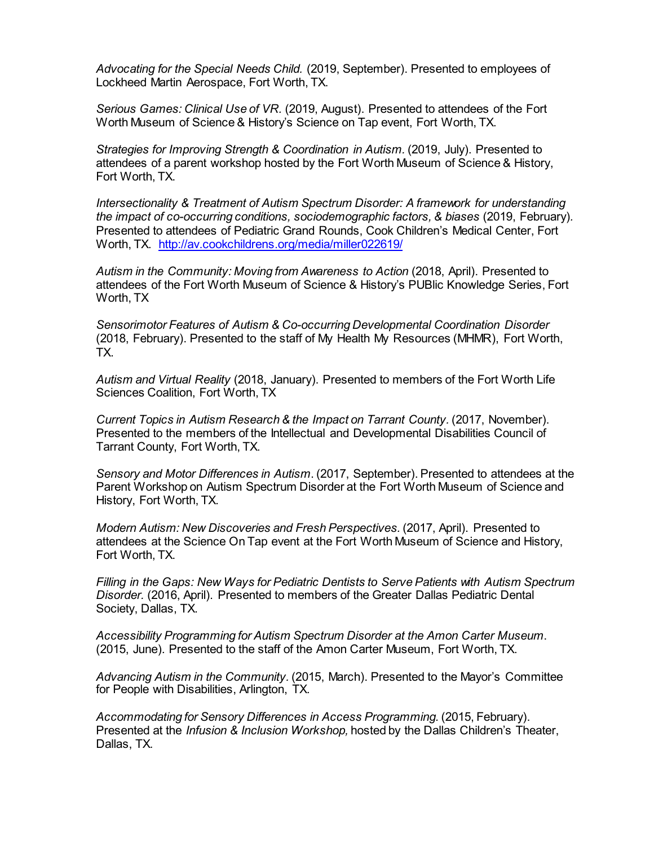*Advocating for the Special Needs Child.* (2019, September). Presented to employees of Lockheed Martin Aerospace, Fort Worth, TX.

*Serious Games: Clinical Use of VR.* (2019, August). Presented to attendees of the Fort Worth Museum of Science & History's Science on Tap event, Fort Worth, TX.

*Strategies for Improving Strength & Coordination in Autism.* (2019, July). Presented to attendees of a parent workshop hosted by the Fort Worth Museum of Science & History, Fort Worth, TX.

*Intersectionality & Treatment of Autism Spectrum Disorder: A framework for understanding the impact of co-occurring conditions, sociodemographic factors, & biases* (2019, February)*.* Presented to attendees of Pediatric Grand Rounds, Cook Children's Medical Center, Fort Worth, TX. <http://av.cookchildrens.org/media/miller022619/>

*Autism in the Community: Moving from Awareness to Action* (2018, April). Presented to attendees of the Fort Worth Museum of Science & History's PUBlic Knowledge Series, Fort Worth, TX

*Sensorimotor Features of Autism & Co-occurring Developmental Coordination Disorder* (2018, February). Presented to the staff of My Health My Resources (MHMR), Fort Worth, TX.

*Autism and Virtual Reality* (2018, January). Presented to members of the Fort Worth Life Sciences Coalition, Fort Worth, TX

*Current Topics in Autism Research & the Impact on Tarrant County.* (2017, November). Presented to the members of the Intellectual and Developmental Disabilities Council of Tarrant County, Fort Worth, TX.

*Sensory and Motor Differences in Autism*. (2017, September). Presented to attendees at the Parent Workshop on Autism Spectrum Disorder at the Fort Worth Museum of Science and History, Fort Worth, TX.

*Modern Autism: New Discoveries and Fresh Perspectives.* (2017, April). Presented to attendees at the Science On Tap event at the Fort Worth Museum of Science and History, Fort Worth, TX.

*Filling in the Gaps: New Ways for Pediatric Dentists to Serve Patients with Autism Spectrum Disorder.* (2016, April). Presented to members of the Greater Dallas Pediatric Dental Society, Dallas, TX.

*Accessibility Programming for Autism Spectrum Disorder at the Amon Carter Museum*. (2015, June). Presented to the staff of the Amon Carter Museum, Fort Worth, TX.

*Advancing Autism in the Community.* (2015, March). Presented to the Mayor's Committee for People with Disabilities, Arlington, TX.

Accommodating for Sensory Differences in Access Programming. (2015, February). Presented at the *Infusion & Inclusion Workshop,* hosted by the Dallas Children's Theater, Dallas, TX.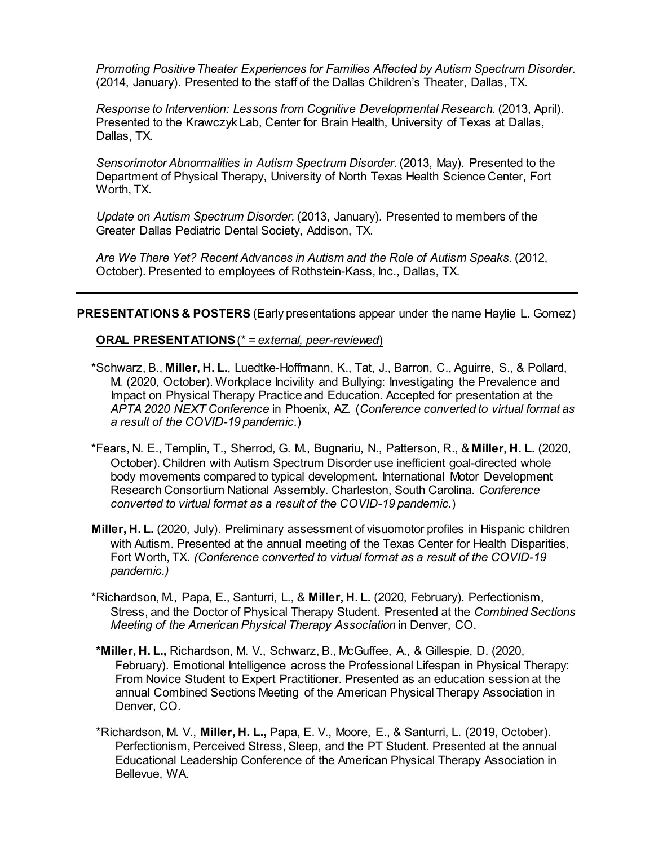*Promoting Positive Theater Experiences for Families Affected by Autism Spectrum Disorder.*  (2014, January). Presented to the staff of the Dallas Children's Theater, Dallas, TX.

*Response to Intervention: Lessons from Cognitive Developmental Research.* (2013, April). Presented to the Krawczyk Lab, Center for Brain Health, University of Texas at Dallas, Dallas, TX.

*Sensorimotor Abnormalities in Autism Spectrum Disorder.* (2013, May). Presented to the Department of Physical Therapy, University of North Texas Health Science Center, Fort Worth, TX.

*Update on Autism Spectrum Disorder.* (2013, January). Presented to members of the Greater Dallas Pediatric Dental Society, Addison, TX.

*Are We There Yet? Recent Advances in Autism and the Role of Autism Speaks.* (2012, October). Presented to employees of Rothstein-Kass, Inc., Dallas, TX.

**PRESENTATIONS & POSTERS** (Early presentations appear under the name Haylie L. Gomez)

## **ORAL PRESENTATIONS** (\* *= external, peer-reviewed*)

- \*Schwarz, B., **Miller, H. L.**, Luedtke-Hoffmann, K., Tat, J., Barron, C., Aguirre, S., & Pollard, M. (2020, October). Workplace Incivility and Bullying: Investigating the Prevalence and Impact on Physical Therapy Practice and Education. Accepted for presentation at the *APTA 2020 NEXT Conference* in Phoenix, AZ. (*Conference converted to virtual format as a result of the COVID-19 pandemic.*)
- \*Fears, N. E., Templin, T., Sherrod, G. M., Bugnariu, N., Patterson, R., & **Miller, H. L.** (2020, October). Children with Autism Spectrum Disorder use inefficient goal-directed whole body movements compared to typical development. International Motor Development Research Consortium National Assembly. Charleston, South Carolina. *Conference converted to virtual format as a result of the COVID-19 pandemic.*)
- **Miller, H. L.** (2020, July). Preliminary assessment of visuomotor profiles in Hispanic children with Autism. Presented at the annual meeting of the Texas Center for Health Disparities, Fort Worth, TX. *(Conference converted to virtual format as a result of the COVID-19 pandemic.)*
- \*Richardson, M., Papa, E., Santurri, L., & **Miller, H. L.** (2020, February). Perfectionism, Stress, and the Doctor of Physical Therapy Student. Presented at the *Combined Sections Meeting of the American Physical Therapy Association* in Denver, CO.
- **\*Miller, H. L.,** Richardson, M. V., Schwarz, B., McGuffee, A., & Gillespie, D. (2020, February). Emotional Intelligence across the Professional Lifespan in Physical Therapy: From Novice Student to Expert Practitioner. Presented as an education session at the annual Combined Sections Meeting of the American Physical Therapy Association in Denver, CO.
- \*Richardson, M. V., **Miller, H. L.,** Papa, E. V., Moore, E., & Santurri, L. (2019, October). Perfectionism, Perceived Stress, Sleep, and the PT Student. Presented at the annual Educational Leadership Conference of the American Physical Therapy Association in Bellevue, WA.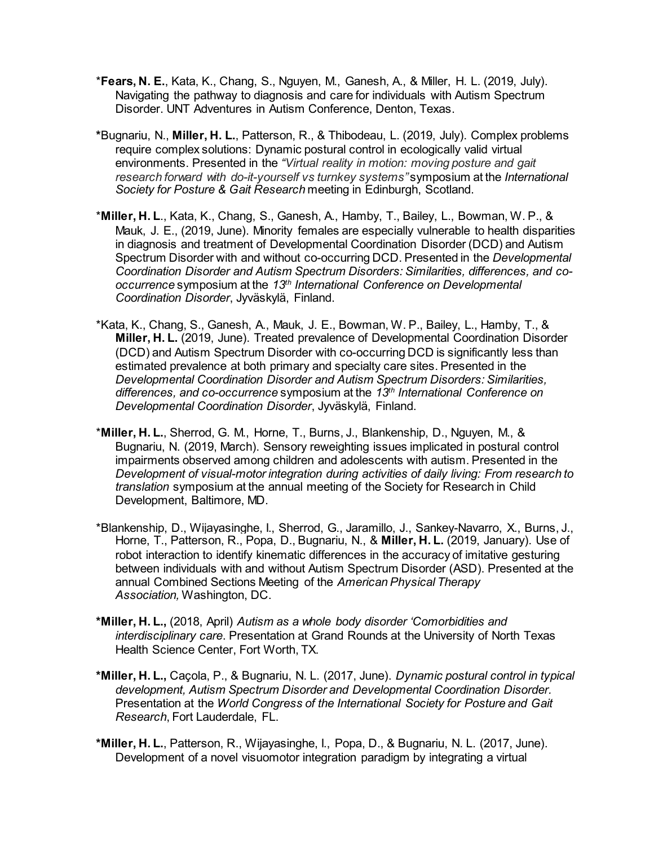- \***Fears, N. E.**, Kata, K., Chang, S., Nguyen, M., Ganesh, A., & Miller, H. L. (2019, July). Navigating the pathway to diagnosis and care for individuals with Autism Spectrum Disorder. UNT Adventures in Autism Conference, Denton, Texas.
- **\***Bugnariu, N., **Miller, H. L.**, Patterson, R., & Thibodeau, L. (2019, July). Complex problems require complex solutions: Dynamic postural control in ecologically valid virtual environments. Presented in the *"Virtual reality in motion: moving posture and gait research forward with do-it-yourself vs turnkey systems"* symposium at the *International Society for Posture & Gait Research* meeting in Edinburgh, Scotland.
- \***Miller, H. L**., Kata, K., Chang, S., Ganesh, A., Hamby, T., Bailey, L., Bowman, W. P., & Mauk, J. E., (2019, June). Minority females are especially vulnerable to health disparities in diagnosis and treatment of Developmental Coordination Disorder (DCD) and Autism Spectrum Disorder with and without co-occurring DCD. Presented in the *Developmental Coordination Disorder and Autism Spectrum Disorders: Similarities, differences, and cooccurrence* symposium at the *13th International Conference on Developmental Coordination Disorder*, Jyväskylä, Finland.
- \*Kata, K., Chang, S., Ganesh, A., Mauk, J. E., Bowman, W. P., Bailey, L., Hamby, T., & **Miller, H. L.** (2019, June). Treated prevalence of Developmental Coordination Disorder (DCD) and Autism Spectrum Disorder with co-occurring DCD is significantly less than estimated prevalence at both primary and specialty care sites. Presented in the *Developmental Coordination Disorder and Autism Spectrum Disorders: Similarities, differences, and co-occurrence* symposium at the *13th International Conference on Developmental Coordination Disorder*, Jyväskylä, Finland.
- \***Miller, H. L.**, Sherrod, G. M., Horne, T., Burns, J., Blankenship, D., Nguyen, M., & Bugnariu, N. (2019, March). Sensory reweighting issues implicated in postural control impairments observed among children and adolescents with autism. Presented in the *Development of visual-motor integration during activities of daily living: From research to translation* symposium at the annual meeting of the Society for Research in Child Development, Baltimore, MD.
- \*Blankenship, D., Wijayasinghe, I., Sherrod, G., Jaramillo, J., Sankey-Navarro, X., Burns, J., Horne, T., Patterson, R., Popa, D., Bugnariu, N., & **Miller, H. L.** (2019, January). Use of robot interaction to identify kinematic differences in the accuracy of imitative gesturing between individuals with and without Autism Spectrum Disorder (ASD). Presented at the annual Combined Sections Meeting of the *American Physical Therapy Association,* Washington, DC.
- **\*Miller, H. L.,** (2018, April) *Autism as a whole body disorder 'Comorbidities and interdisciplinary care*. Presentation at Grand Rounds at the University of North Texas Health Science Center, Fort Worth, TX.
- **\*Miller, H. L.,** Caçola, P., & Bugnariu, N. L. (2017, June). *Dynamic postural control in typical development, Autism Spectrum Disorder and Developmental Coordination Disorder.*  Presentation at the *World Congress of the International Society for Posture and Gait Research*, Fort Lauderdale, FL.
- **\*Miller, H. L.**, Patterson, R., Wijayasinghe, I., Popa, D., & Bugnariu, N. L. (2017, June). Development of a novel visuomotor integration paradigm by integrating a virtual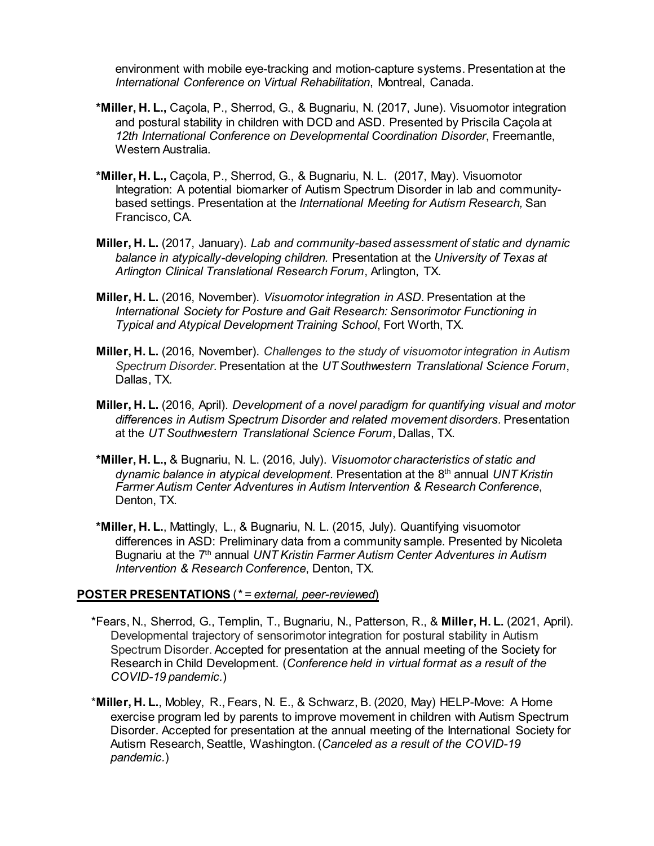environment with mobile eye-tracking and motion-capture systems. Presentation at the *International Conference on Virtual Rehabilitation*, Montreal, Canada.

- **\*Miller, H. L.,** Caçola, P., Sherrod, G., & Bugnariu, N. (2017, June). Visuomotor integration and postural stability in children with DCD and ASD. Presented by Priscila Caçola at *12th International Conference on Developmental Coordination Disorder*, Freemantle, Western Australia.
- **\*Miller, H. L.,** Caçola, P., Sherrod, G., & Bugnariu, N. L. (2017, May). Visuomotor Integration: A potential biomarker of Autism Spectrum Disorder in lab and communitybased settings. Presentation at the *International Meeting for Autism Research,* San Francisco, CA.
- **Miller, H. L.** (2017, January). *Lab and community-based assessment of static and dynamic balance in atypically-developing children.* Presentation at the *University of Texas at Arlington Clinical Translational Research Forum*, Arlington, TX.
- **Miller, H. L.** (2016, November). *Visuomotor integration in ASD.* Presentation at the *International Society for Posture and Gait Research: Sensorimotor Functioning in Typical and Atypical Development Training School*, Fort Worth, TX.
- **Miller, H. L.** (2016, November). *Challenges to the study of visuomotor integration in Autism Spectrum Disorder.* Presentation at the *UT Southwestern Translational Science Forum*, Dallas, TX.
- **Miller, H. L.** (2016, April). *Development of a novel paradigm for quantifying visual and motor differences in Autism Spectrum Disorder and related movement disorders.* Presentation at the *UT Southwestern Translational Science Forum*, Dallas, TX.
- **\*Miller, H. L.,** & Bugnariu, N. L. (2016, July). *Visuomotor characteristics of static and dynamic balance in atypical development*. Presentation at the 8th annual *UNT Kristin Farmer Autism Center Adventures in Autism Intervention & Research Conference*, Denton, TX.
- **\*Miller, H. L.**, Mattingly, L., & Bugnariu, N. L. (2015, July). Quantifying visuomotor differences in ASD: Preliminary data from a community sample. Presented by Nicoleta Bugnariu at the 7th annual *UNT Kristin Farmer Autism Center Adventures in Autism Intervention & Research Conference*, Denton, TX.

# **POSTER PRESENTATIONS** (*\* = external, peer-reviewed*)

- \*Fears, N., Sherrod, G., Templin, T., Bugnariu, N., Patterson, R., & **Miller, H. L.** (2021, April). Developmental trajectory of sensorimotor integration for postural stability in Autism Spectrum Disorder. Accepted for presentation at the annual meeting of the Society for Research in Child Development. (*Conference held in virtual format as a result of the COVID-19 pandemic.*)
- \***Miller, H. L.**, Mobley, R., Fears, N. E., & Schwarz, B. (2020, May) HELP-Move: A Home exercise program led by parents to improve movement in children with Autism Spectrum Disorder. Accepted for presentation at the annual meeting of the International Society for Autism Research, Seattle, Washington. (*Canceled as a result of the COVID-19 pandemic.*)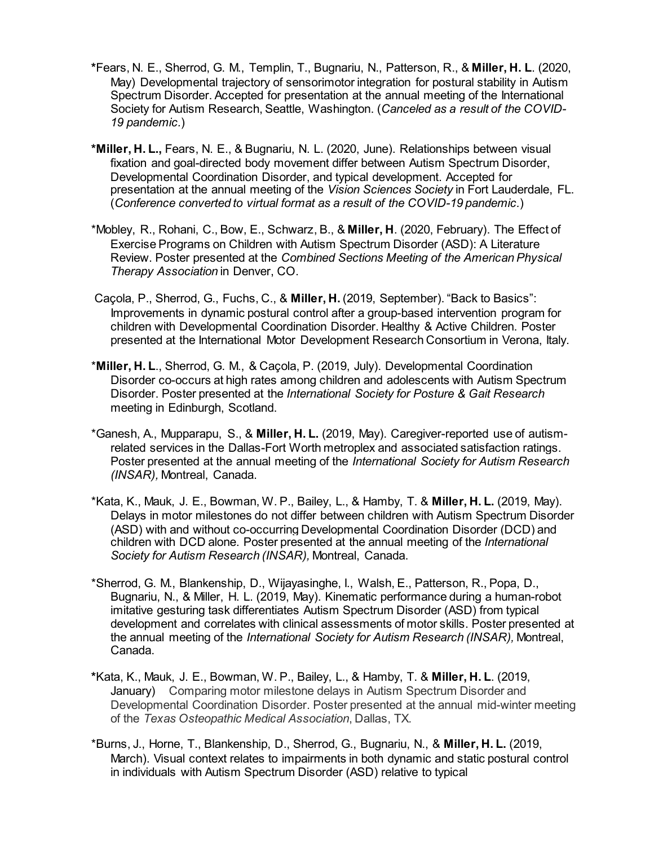- **\***Fears, N. E., Sherrod, G. M., Templin, T., Bugnariu, N., Patterson, R., & **Miller, H. L**. (2020, May) Developmental trajectory of sensorimotor integration for postural stability in Autism Spectrum Disorder. Accepted for presentation at the annual meeting of the International Society for Autism Research, Seattle, Washington. (*Canceled as a result of the COVID-19 pandemic.*)
- **\*Miller, H. L.,** Fears, N. E., & Bugnariu, N. L. (2020, June). Relationships between visual fixation and goal-directed body movement differ between Autism Spectrum Disorder, Developmental Coordination Disorder, and typical development. Accepted for presentation at the annual meeting of the *Vision Sciences Society* in Fort Lauderdale, FL. (*Conference converted to virtual format as a result of the COVID-19 pandemic.*)
- \*Mobley, R., Rohani, C., Bow, E., Schwarz, B., & **Miller, H**. (2020, February). The Effect of Exercise Programs on Children with Autism Spectrum Disorder (ASD): A Literature Review. Poster presented at the *Combined Sections Meeting of the American Physical Therapy Association* in Denver, CO.
- Caçola, P., Sherrod, G., Fuchs, C., & **Miller, H.** (2019, September). "Back to Basics": Improvements in dynamic postural control after a group-based intervention program for children with Developmental Coordination Disorder. Healthy & Active Children. Poster presented at the International Motor Development Research Consortium in Verona, Italy.
- \***Miller, H. L**., Sherrod, G. M., & Caçola, P. (2019, July). Developmental Coordination Disorder co-occurs at high rates among children and adolescents with Autism Spectrum Disorder. Poster presented at the *International Society for Posture & Gait Research* meeting in Edinburgh, Scotland.
- \*Ganesh, A., Mupparapu, S., & **Miller, H. L.** (2019, May). Caregiver-reported use of autismrelated services in the Dallas-Fort Worth metroplex and associated satisfaction ratings. Poster presented at the annual meeting of the *International Society for Autism Research (INSAR),* Montreal, Canada.
- \*Kata, K., Mauk, J. E., Bowman, W. P., Bailey, L., & Hamby, T. & **Miller, H. L.** (2019, May). Delays in motor milestones do not differ between children with Autism Spectrum Disorder (ASD) with and without co-occurring Developmental Coordination Disorder (DCD) and children with DCD alone. Poster presented at the annual meeting of the *International Society for Autism Research (INSAR),* Montreal, Canada.
- \*Sherrod, G. M., Blankenship, D., Wijayasinghe, I., Walsh, E., Patterson, R., Popa, D., Bugnariu, N., & Miller, H. L. (2019, May). Kinematic performance during a human-robot imitative gesturing task differentiates Autism Spectrum Disorder (ASD) from typical development and correlates with clinical assessments of motor skills. Poster presented at the annual meeting of the *International Society for Autism Research (INSAR),* Montreal, Canada.
- **\***Kata, K., Mauk, J. E., Bowman, W. P., Bailey, L., & Hamby, T. & **Miller, H. L**. (2019, January) Comparing motor milestone delays in Autism Spectrum Disorder and Developmental Coordination Disorder. Poster presented at the annual mid-winter meeting of the *Texas Osteopathic Medical Association*, Dallas, TX.
- \*Burns, J., Horne, T., Blankenship, D., Sherrod, G., Bugnariu, N., & **Miller, H. L.** (2019, March). Visual context relates to impairments in both dynamic and static postural control in individuals with Autism Spectrum Disorder (ASD) relative to typical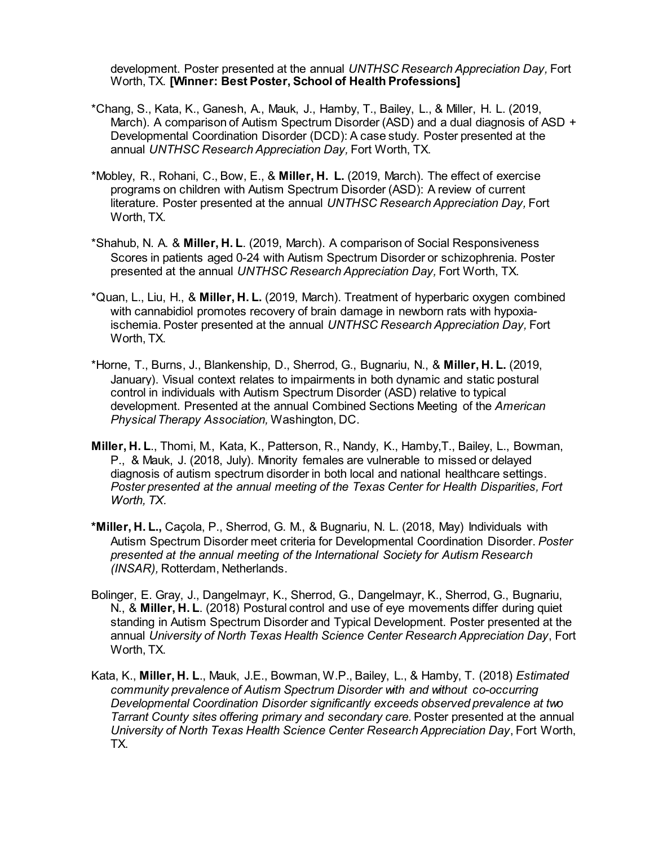development. Poster presented at the annual *UNTHSC Research Appreciation Day,* Fort Worth, TX. **[Winner: Best Poster, School of Health Professions]**

- \*Chang, S., Kata, K., Ganesh, A., Mauk, J., Hamby, T., Bailey, L., & Miller, H. L. (2019, March). A comparison of Autism Spectrum Disorder (ASD) and a dual diagnosis of ASD + Developmental Coordination Disorder (DCD): A case study. Poster presented at the annual *UNTHSC Research Appreciation Day,* Fort Worth, TX.
- \*Mobley, R., Rohani, C., Bow, E., & **Miller, H. L.** (2019, March). The effect of exercise programs on children with Autism Spectrum Disorder (ASD): A review of current literature. Poster presented at the annual *UNTHSC Research Appreciation Day,* Fort Worth, TX.
- \*Shahub, N. A. & **Miller, H. L**. (2019, March). A comparison of Social Responsiveness Scores in patients aged 0-24 with Autism Spectrum Disorder or schizophrenia. Poster presented at the annual *UNTHSC Research Appreciation Day,* Fort Worth, TX.
- \*Quan, L., Liu, H., & **Miller, H. L.** (2019, March). Treatment of hyperbaric oxygen combined with cannabidiol promotes recovery of brain damage in newborn rats with hypoxiaischemia. Poster presented at the annual *UNTHSC Research Appreciation Day,* Fort Worth, TX.
- \*Horne, T., Burns, J., Blankenship, D., Sherrod, G., Bugnariu, N., & **Miller, H. L.** (2019, January). Visual context relates to impairments in both dynamic and static postural control in individuals with Autism Spectrum Disorder (ASD) relative to typical development. Presented at the annual Combined Sections Meeting of the *American Physical Therapy Association,* Washington, DC.
- **Miller, H. L**., Thomi, M., Kata, K., Patterson, R., Nandy, K., Hamby,T., Bailey, L., Bowman, P., & Mauk, J. (2018, July). Minority females are vulnerable to missed or delayed diagnosis of autism spectrum disorder in both local and national healthcare settings. *Poster presented at the annual meeting of the Texas Center for Health Disparities, Fort Worth, TX.*
- **\*Miller, H. L.,** Caçola, P., Sherrod, G. M., & Bugnariu, N. L. (2018, May) Individuals with Autism Spectrum Disorder meet criteria for Developmental Coordination Disorder. *Poster presented at the annual meeting of the International Society for Autism Research (INSAR),* Rotterdam, Netherlands.
- Bolinger, E. Gray, J., Dangelmayr, K., Sherrod, G., Dangelmayr, K., Sherrod, G., Bugnariu, N., & **Miller, H. L**. (2018) Postural control and use of eye movements differ during quiet standing in Autism Spectrum Disorder and Typical Development. Poster presented at the annual *University of North Texas Health Science Center Research Appreciation Day*, Fort Worth, TX.
- Kata, K., **Miller, H. L**., Mauk, J.E., Bowman, W.P., Bailey, L., & Hamby, T. (2018) *Estimated community prevalence of Autism Spectrum Disorder with and without co-occurring Developmental Coordination Disorder significantly exceeds observed prevalence at two Tarrant County sites offering primary and secondary care.* Poster presented at the annual *University of North Texas Health Science Center Research Appreciation Day*, Fort Worth, TX.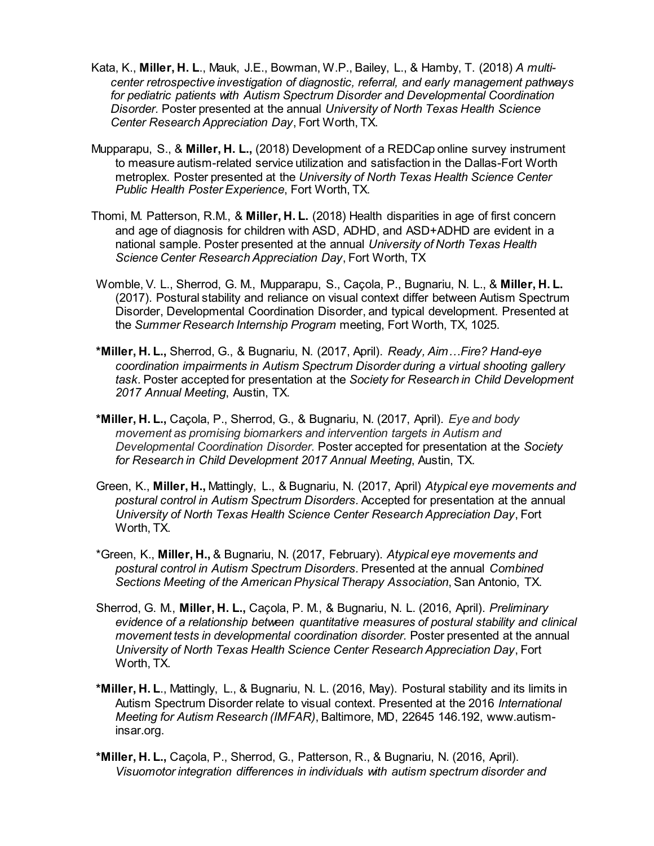- Kata, K., **Miller, H. L**., Mauk, J.E., Bowman, W.P., Bailey, L., & Hamby, T. (2018) *A multicenter retrospective investigation of diagnostic, referral, and early management pathways for pediatric patients with Autism Spectrum Disorder and Developmental Coordination Disorder.* Poster presented at the annual *University of North Texas Health Science Center Research Appreciation Day*, Fort Worth, TX.
- Mupparapu, S., & **Miller, H. L.,** (2018) Development of a REDCap online survey instrument to measure autism-related service utilization and satisfaction in the Dallas-Fort Worth metroplex. Poster presented at the *University of North Texas Health Science Center Public Health Poster Experience*, Fort Worth, TX.
- Thomi, M. Patterson, R.M., & **Miller, H. L.** (2018) Health disparities in age of first concern and age of diagnosis for children with ASD, ADHD, and ASD+ADHD are evident in a national sample. Poster presented at the annual *University of North Texas Health Science Center Research Appreciation Day*, Fort Worth, TX
- Womble, V. L., Sherrod, G. M., Mupparapu, S., Caçola, P., Bugnariu, N. L., & **Miller, H. L.** (2017). Postural stability and reliance on visual context differ between Autism Spectrum Disorder, Developmental Coordination Disorder, and typical development. Presented at the *Summer Research Internship Program* meeting, Fort Worth, TX, 1025.
- **\*Miller, H. L.,** Sherrod, G., & Bugnariu, N. (2017, April). *Ready, Aim…Fire? Hand-eye coordination impairments in Autism Spectrum Disorder during a virtual shooting gallery task.* Poster accepted for presentation at the *Society for Research in Child Development 2017 Annual Meeting*, Austin, TX.
- **\*Miller, H. L.,** Caçola, P., Sherrod, G., & Bugnariu, N. (2017, April). *Eye and body movement as promising biomarkers and intervention targets in Autism and Developmental Coordination Disorder.* Poster accepted for presentation at the *Society for Research in Child Development 2017 Annual Meeting*, Austin, TX.
- Green, K., **Miller, H.,** Mattingly, L., & Bugnariu, N. (2017, April) *Atypical eye movements and postural control in Autism Spectrum Disorders.* Accepted for presentation at the annual *University of North Texas Health Science Center Research Appreciation Day*, Fort Worth, TX.
- \*Green, K., **Miller, H.,** & Bugnariu, N. (2017, February). *Atypical eye movements and postural control in Autism Spectrum Disorders.* Presented at the annual *Combined Sections Meeting of the American Physical Therapy Association*, San Antonio, TX.
- Sherrod, G. M., **Miller, H. L.,** Caçola, P. M., & Bugnariu, N. L. (2016, April). *Preliminary evidence of a relationship between quantitative measures of postural stability and clinical movement tests in developmental coordination disorder.* Poster presented at the annual *University of North Texas Health Science Center Research Appreciation Day*, Fort Worth, TX.
- **\*Miller, H. L**., Mattingly, L., & Bugnariu, N. L. (2016, May). Postural stability and its limits in Autism Spectrum Disorder relate to visual context. Presented at the 2016 *International Meeting for Autism Research (IMFAR)*, Baltimore, MD, 22645 146.192, [www.autism](http://www.autism-insar.org/)[insar.org.](http://www.autism-insar.org/)
- **\*Miller, H. L.,** Caçola, P., Sherrod, G., Patterson, R., & Bugnariu, N. (2016, April). *Visuomotor integration differences in individuals with autism spectrum disorder and*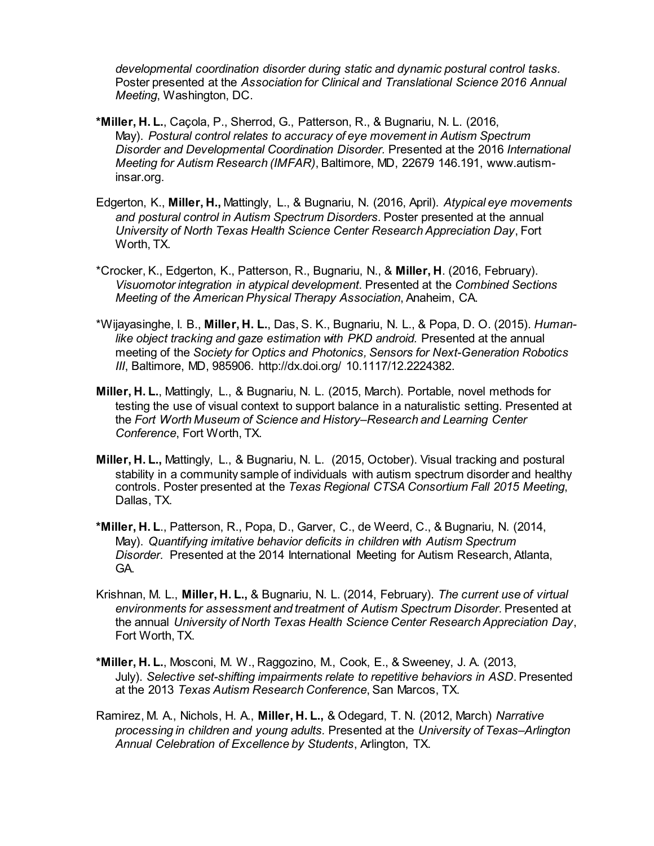*developmental coordination disorder during static and dynamic postural control tasks.* Poster presented at the *Association for Clinical and Translational Science 2016 Annual Meeting*, Washington, DC.

- **\*Miller, H. L.**, Caçola, P., Sherrod, G., Patterson, R., & Bugnariu, N. L. (2016, May). *Postural control relates to accuracy of eye movement in Autism Spectrum Disorder and Developmental Coordination Disorder.* Presented at the 2016 *International Meeting for Autism Research (IMFAR)*, Baltimore, MD, 22679 146.191, [www.autism](http://www.autism-insar.org/)[insar.org.](http://www.autism-insar.org/)
- Edgerton, K., **Miller, H.,** Mattingly, L., & Bugnariu, N. (2016, April). *Atypical eye movements and postural control in Autism Spectrum Disorders.* Poster presented at the annual *University of North Texas Health Science Center Research Appreciation Day*, Fort Worth, TX.
- \*Crocker, K., Edgerton, K., Patterson, R., Bugnariu, N., & **Miller, H**. (2016, February). *Visuomotor integration in atypical development*. Presented at the *Combined Sections Meeting of the American Physical Therapy Association*, Anaheim, CA.
- \*Wijayasinghe, I. B., **Miller, H. L.**, Das, S. K., Bugnariu, N. L., & Popa, D. O. (2015). *Human*like object tracking and gaze estimation with PKD android. Presented at the annual meeting of the *Society for Optics and Photonics, Sensors for Next-Generation Robotics III*, Baltimore, MD, 985906. http://dx.doi.org/ 10.1117/12.2224382.
- **Miller, H. L.**, Mattingly, L., & Bugnariu, N. L. (2015, March). Portable, novel methods for testing the use of visual context to support balance in a naturalistic setting. Presented at the *Fort Worth Museum of Science and History–Research and Learning Center Conference*, Fort Worth, TX.
- **Miller, H. L.,** Mattingly, L., & Bugnariu, N. L. (2015, October). Visual tracking and postural stability in a community sample of individuals with autism spectrum disorder and healthy controls. Poster presented at the *Texas Regional CTSA Consortium Fall 2015 Meeting*, Dallas, TX.
- **\*Miller, H. L**., Patterson, R., Popa, D., Garver, C., de Weerd, C., & Bugnariu, N. (2014, May). *Quantifying imitative behavior deficits in children with Autism Spectrum Disorder.* Presented at the 2014 International Meeting for Autism Research, Atlanta, GA.
- Krishnan, M. L., **Miller, H. L.,** & Bugnariu, N. L. (2014, February). *The current use of virtual environments for assessment and treatment of Autism Spectrum Disorder.* Presented at the annual *University of North Texas Health Science Center Research Appreciation Day*, Fort Worth, TX.
- **\*Miller, H. L.**, Mosconi, M. W., Raggozino, M., Cook, E., & Sweeney, J. A. (2013, July). *Selective set-shifting impairments relate to repetitive behaviors in ASD*. Presented at the 2013 *Texas Autism Research Conference*, San Marcos, TX.
- Ramirez, M. A., Nichols, H. A., **Miller, H. L.,** & Odegard, T. N. (2012, March) *Narrative processing in children and young adults.* Presented at the *University of Texas–Arlington Annual Celebration of Excellence by Students*, Arlington, TX.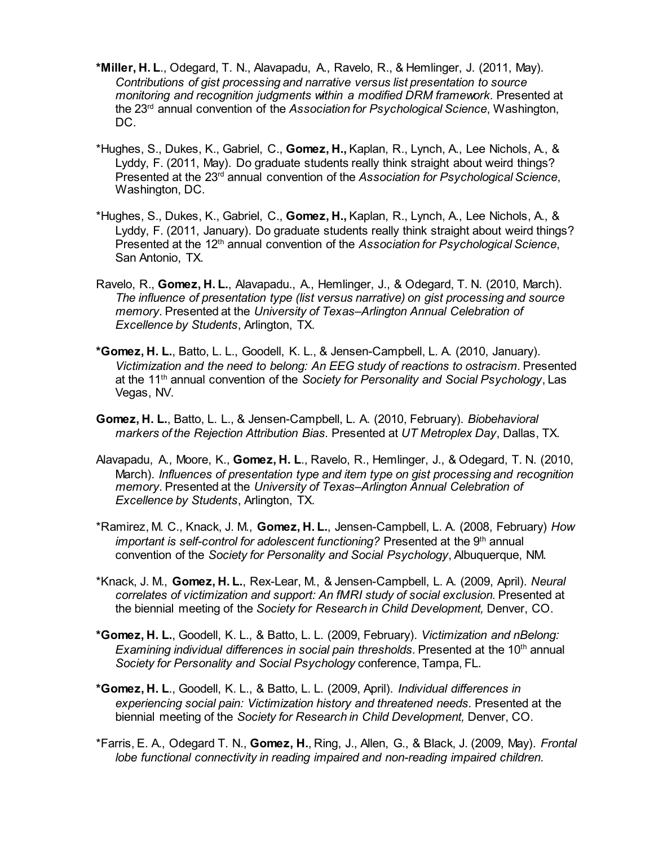- **\*Miller, H. L**., Odegard, T. N., Alavapadu, A., Ravelo, R., & Hemlinger, J. (2011, May). *Contributions of gist processing and narrative versus list presentation to source monitoring and recognition judgments within a modified DRM framework.* Presented at the 23rd annual convention of the *Association for Psychological Science*, Washington, DC.
- \*Hughes, S., Dukes, K., Gabriel, C., **Gomez, H.,** Kaplan, R., Lynch, A., Lee Nichols, A., & Lyddy, F. (2011, May). Do graduate students really think straight about weird things? Presented at the 23rd annual convention of the *Association for Psychological Science*, Washington, DC.
- \*Hughes, S., Dukes, K., Gabriel, C., **Gomez, H.,** Kaplan, R., Lynch, A., Lee Nichols, A., & Lyddy, F. (2011, January). Do graduate students really think straight about weird things? Presented at the 12th annual convention of the *Association for Psychological Science*, San Antonio, TX.
- Ravelo, R., **Gomez, H. L.**, Alavapadu., A., Hemlinger, J., & Odegard, T. N. (2010, March). *The influence of presentation type (list versus narrative) on gist processing and source memory.* Presented at the *University of Texas–Arlington Annual Celebration of Excellence by Students*, Arlington, TX.
- **\*Gomez, H. L.**, Batto, L. L., Goodell, K. L., & Jensen-Campbell, L. A. (2010, January). *Victimization and the need to belong: An EEG study of reactions to ostracism.* Presented at the 11th annual convention of the *Society for Personality and Social Psychology*, Las Vegas, NV.
- **Gomez, H. L.**, Batto, L. L., & Jensen-Campbell, L. A. (2010, February). *Biobehavioral markers of the Rejection Attribution Bias.* Presented at *UT Metroplex Day*, Dallas, TX.
- Alavapadu, A., Moore, K., **Gomez, H. L**., Ravelo, R., Hemlinger, J., & Odegard, T. N. (2010, March). *Influences of presentation type and item type on gist processing and recognition memory.* Presented at the *University of Texas–Arlington Annual Celebration of Excellence by Students*, Arlington, TX.
- \*Ramirez, M. C., Knack, J. M., **Gomez, H. L.**, Jensen-Campbell, L. A. (2008, February) *How important is self-control for adolescent functioning?* Presented at the 9<sup>th</sup> annual convention of the *Society for Personality and Social Psychology*, Albuquerque, NM.
- \*Knack, J. M., **Gomez, H. L.**, Rex-Lear, M., & Jensen-Campbell, L. A. (2009, April). *Neural correlates of victimization and support: An fMRI study of social exclusion.* Presented at the biennial meeting of the *Society for Research in Child Development,* Denver, CO.
- **\*Gomez, H. L.**, Goodell, K. L., & Batto, L. L. (2009, February). *Victimization and nBelong: Examining individual differences in social pain thresholds.* Presented at the 10<sup>th</sup> annual *Society for Personality and Social Psychology* conference, Tampa, FL.
- **\*Gomez, H. L**., Goodell, K. L., & Batto, L. L. (2009, April). *Individual differences in experiencing social pain: Victimization history and threatened needs.* Presented at the biennial meeting of the *Society for Research in Child Development,* Denver, CO.
- \*Farris, E. A., Odegard T. N., **Gomez, H.**, Ring, J., Allen, G., & Black, J. (2009, May). *Frontal lobe functional connectivity in reading impaired and non-reading impaired children.*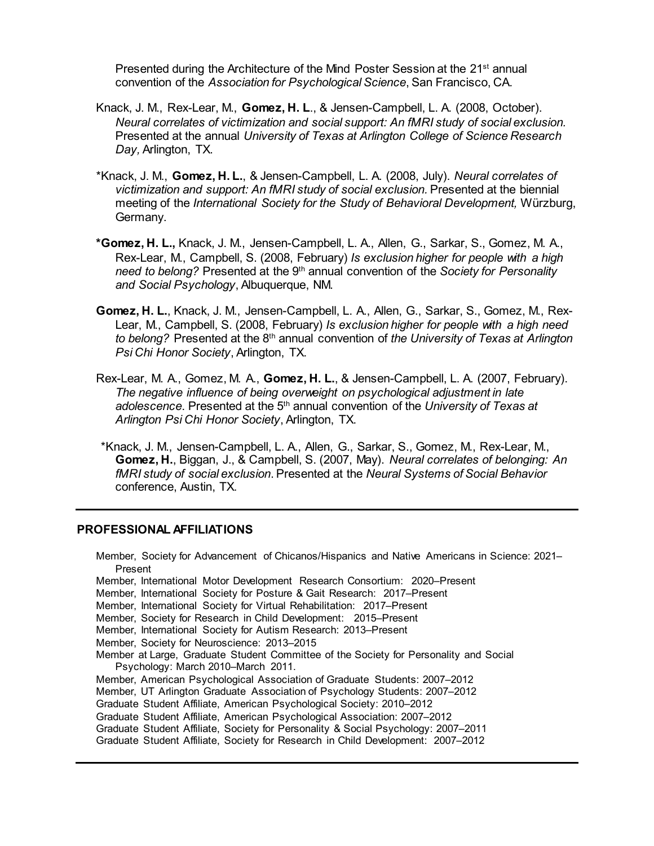Presented during the Architecture of the Mind Poster Session at the 21<sup>st</sup> annual convention of the *Association for Psychological Science*, San Francisco, CA.

- Knack, J. M., Rex-Lear, M., **Gomez, H. L**., & Jensen-Campbell, L. A. (2008, October). *Neural correlates of victimization and social support: An fMRI study of social exclusion.* Presented at the annual *University of Texas at Arlington College of Science Research Day,* Arlington, TX.
- \*Knack, J. M., **Gomez, H. L.**, & Jensen-Campbell, L. A. (2008, July). *Neural correlates of victimization and support: An fMRI study of social exclusion.* Presented at the biennial meeting of the *International Society for the Study of Behavioral Development,* Würzburg, Germany.
- **\*Gomez, H. L.,** Knack, J. M., Jensen-Campbell, L. A., Allen, G., Sarkar, S., Gomez, M. A., Rex-Lear, M., Campbell, S. (2008, February) *Is exclusion higher for people with a high need to belong?* Presented at the 9th annual convention of the *Society for Personality and Social Psychology*, Albuquerque, NM.
- **Gomez, H. L.**, Knack, J. M., Jensen-Campbell, L. A., Allen, G., Sarkar, S., Gomez, M., Rex-Lear, M., Campbell, S. (2008, February) *Is exclusion higher for people with a high need to belong?* Presented at the 8th annual convention of *the University of Texas at Arlington Psi Chi Honor Society*, Arlington, TX.
- Rex-Lear, M. A., Gomez, M. A., **Gomez, H. L.**, & Jensen-Campbell, L. A. (2007, February). *The negative influence of being overweight on psychological adjustment in late adolescence*. Presented at the 5th annual convention of the *University of Texas at Arlington Psi Chi Honor Society*, Arlington, TX.
- \*Knack, J. M., Jensen-Campbell, L. A., Allen, G., Sarkar, S., Gomez, M., Rex-Lear, M., **Gomez, H.**, Biggan, J., & Campbell, S. (2007, May). *Neural correlates of belonging: An fMRI study of social exclusion*. Presented at the *Neural Systems of Social Behavior* conference, Austin, TX.

#### **PROFESSIONAL AFFILIATIONS**

Member, Society for Advancement of Chicanos/Hispanics and Native Americans in Science: 2021– Present Member, International Motor Development Research Consortium: 2020–Present Member, International Society for Posture & Gait Research: 2017–Present Member, International Society for Virtual Rehabilitation: 2017–Present Member, Society for Research in Child Development: 2015–Present Member, International Society for Autism Research: 2013–Present Member, Society for Neuroscience: 2013–2015 Member at Large, Graduate Student Committee of the Society for Personality and Social Psychology: March 2010–March 2011. Member, American Psychological Association of Graduate Students: 2007–2012 Member, UT Arlington Graduate Association of Psychology Students: 2007–2012 Graduate Student Affiliate, American Psychological Society: 2010–2012 Graduate Student Affiliate, American Psychological Association: 2007–2012 Graduate Student Affiliate, Society for Personality & Social Psychology: 2007–2011 Graduate Student Affiliate, Society for Research in Child Development: 2007–2012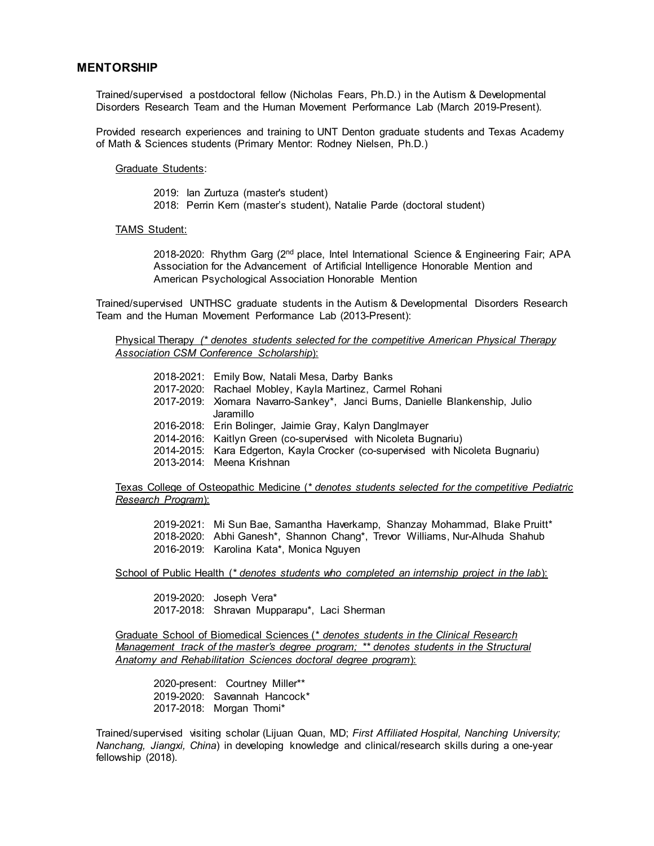#### **MENTORSHIP**

Trained/supervised a postdoctoral fellow (Nicholas Fears, Ph.D.) in the Autism & Developmental Disorders Research Team and the Human Movement Performance Lab (March 2019-Present).

Provided research experiences and training to UNT Denton graduate students and Texas Academy of Math & Sciences students (Primary Mentor: Rodney Nielsen, Ph.D.)

#### Graduate Students:

2019: Ian Zurtuza (master's student)

2018: Perrin Kern (master's student), Natalie Parde (doctoral student)

#### TAMS Student:

2018-2020: Rhythm Garg  $(2^{nd}$  place, Intel International Science & Engineering Fair; APA Association for the Advancement of Artificial Intelligence Honorable Mention and American Psychological Association Honorable Mention

Trained/supervised UNTHSC graduate students in the Autism & Developmental Disorders Research Team and the Human Movement Performance Lab (2013-Present):

Physical Therapy *(\* denotes students selected for the competitive American Physical Therapy Association CSM Conference Scholarship*):

| 2018-2021: Emily Bow, Natali Mesa, Darby Banks                                 |
|--------------------------------------------------------------------------------|
| 2017-2020: Rachael Mobley, Kayla Martinez, Carmel Rohani                       |
| 2017-2019: Xiomara Navarro-Sankey*, Janci Burns, Danielle Blankenship, Julio   |
| Jaramillo                                                                      |
| 2016-2018: Erin Bolinger, Jaimie Gray, Kalyn Danglmayer                        |
| 2014-2016: Kaitlyn Green (co-supervised with Nicoleta Bugnariu)                |
| 2014-2015: Kara Edgerton, Kayla Crocker (co-supervised with Nicoleta Bugnariu) |
| 2013-2014: Meena Krishnan                                                      |
|                                                                                |

Texas College of Osteopathic Medicine (*\* denotes students selected for the competitive Pediatric Research Program*):

2019-2021: Mi Sun Bae, Samantha Haverkamp, Shanzay Mohammad, Blake Pruitt\* 2018-2020: Abhi Ganesh\*, Shannon Chang\*, Trevor Williams, Nur-Alhuda Shahub 2016-2019: Karolina Kata\*, Monica Nguyen

School of Public Health (*\* denotes students who completed an internship project in the lab*):

2019-2020: Joseph Vera\* 2017-2018: Shravan Mupparapu\*, Laci Sherman

Graduate School of Biomedical Sciences (*\* denotes students in the Clinical Research Management track of the master's degree program; \*\* denotes students in the Structural Anatomy and Rehabilitation Sciences doctoral degree program*):

2020-present: Courtney Miller\*\* 2019-2020: Savannah Hancock\* 2017-2018: Morgan Thomi\*

Trained/supervised visiting scholar (Lijuan Quan, MD; *First Affiliated Hospital, Nanching University; Nanchang, Jiangxi, China*) in developing knowledge and clinical/research skills during a one-year fellowship (2018).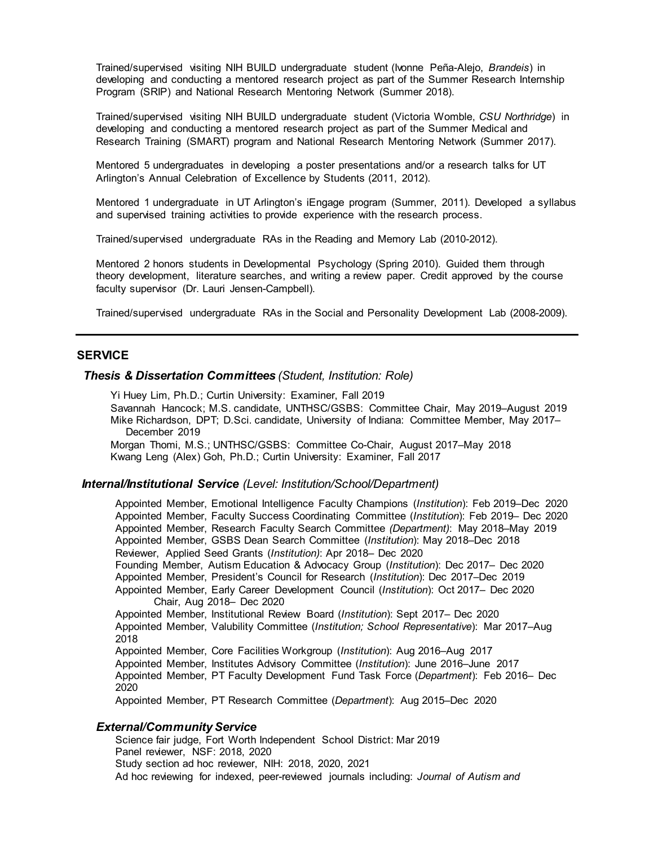Trained/supervised visiting NIH BUILD undergraduate student (Ivonne Peña-Alejo, *Brandeis*) in developing and conducting a mentored research project as part of the Summer Research Internship Program (SRIP) and National Research Mentoring Network (Summer 2018).

Trained/supervised visiting NIH BUILD undergraduate student (Victoria Womble, *CSU Northridge*) in developing and conducting a mentored research project as part of the Summer Medical and Research Training (SMART) program and National Research Mentoring Network (Summer 2017).

Mentored 5 undergraduates in developing a poster presentations and/or a research talks for UT Arlington's Annual Celebration of Excellence by Students (2011, 2012).

Mentored 1 undergraduate in UT Arlington's iEngage program (Summer, 2011). Developed a syllabus and supervised training activities to provide experience with the research process.

Trained/supervised undergraduate RAs in the Reading and Memory Lab (2010-2012).

Mentored 2 honors students in Developmental Psychology (Spring 2010). Guided them through theory development, literature searches, and writing a review paper. Credit approved by the course faculty supervisor (Dr. Lauri Jensen-Campbell).

Trained/supervised undergraduate RAs in the Social and Personality Development Lab (2008-2009).

### **SERVICE**

#### *Thesis & Dissertation Committees (Student, Institution: Role)*

Yi Huey Lim, Ph.D.; Curtin University: Examiner, Fall 2019 Savannah Hancock; M.S. candidate, UNTHSC/GSBS: Committee Chair, May 2019–August 2019 Mike Richardson, DPT; D.Sci. candidate, University of Indiana: Committee Member, May 2017– December 2019

Morgan Thomi, M.S.; UNTHSC/GSBS: Committee Co-Chair, August 2017–May 2018 Kwang Leng (Alex) Goh, Ph.D.; Curtin University: Examiner, Fall 2017

#### *Internal/Institutional Service (Level: Institution/School/Department)*

Appointed Member, Emotional Intelligence Faculty Champions (*Institution*): Feb 2019–Dec 2020 Appointed Member, Faculty Success Coordinating Committee (*Institution*): Feb 2019– Dec 2020 Appointed Member, Research Faculty Search Committee *(Department)*: May 2018–May 2019 Appointed Member, GSBS Dean Search Committee (*Institution*): May 2018–Dec 2018 Reviewer, Applied Seed Grants (*Institution)*: Apr 2018– Dec 2020 Founding Member, Autism Education & Advocacy Group (*Institution*): Dec 2017– Dec 2020 Appointed Member, President's Council for Research (*Institution*): Dec 2017–Dec 2019 Appointed Member, Early Career Development Council (*Institution*): Oct 2017– Dec 2020 Chair, Aug 2018– Dec 2020 Appointed Member, Institutional Review Board (*Institution*): Sept 2017– Dec 2020 Appointed Member, Valubility Committee (*Institution; School Representative*): Mar 2017–Aug 2018 Appointed Member, Core Facilities Workgroup (*Institution*): Aug 2016–Aug 2017 Appointed Member, Institutes Advisory Committee (*Institution*): June 2016–June 2017 Appointed Member, PT Faculty Development Fund Task Force (*Department*): Feb 2016– Dec 2020 Appointed Member, PT Research Committee (*Department*): Aug 2015–Dec 2020

#### *External/Community Service*

Science fair judge, Fort Worth Independent School District: Mar 2019 Panel reviewer, NSF: 2018, 2020 Study section ad hoc reviewer, NIH: 2018, 2020, 2021 Ad hoc reviewing for indexed, peer-reviewed journals including: *Journal of Autism and*